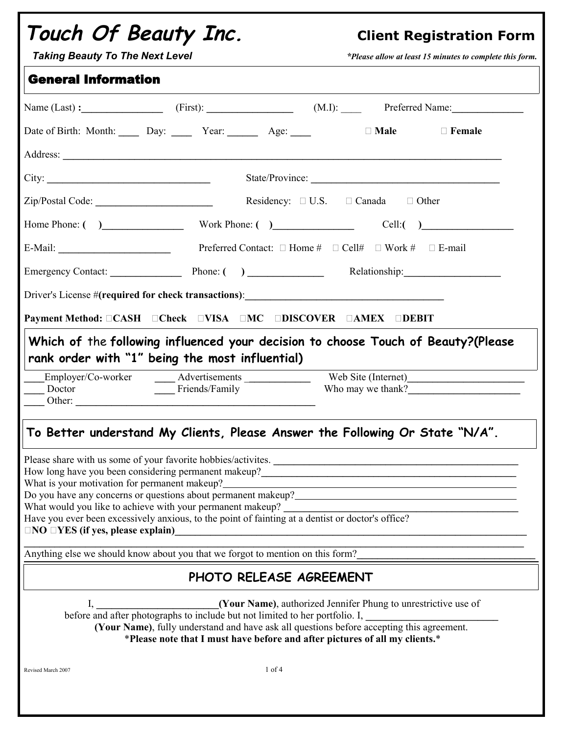| Touch Of Beauty Inc.<br><b>Taking Beauty To The Next Level</b>                                                                                                                                                                                                                                                                     |                         |            |                                                                                                                                                                                                                                                          | <b>Client Registration Form</b><br>*Please allow at least 15 minutes to complete this form. |
|------------------------------------------------------------------------------------------------------------------------------------------------------------------------------------------------------------------------------------------------------------------------------------------------------------------------------------|-------------------------|------------|----------------------------------------------------------------------------------------------------------------------------------------------------------------------------------------------------------------------------------------------------------|---------------------------------------------------------------------------------------------|
| <b>General Information</b>                                                                                                                                                                                                                                                                                                         |                         |            |                                                                                                                                                                                                                                                          |                                                                                             |
| Name $(Last)$ : $(First):$ $(First):$ $(M.I):$ $(M.I):$ $Preferred Name:$                                                                                                                                                                                                                                                          |                         |            |                                                                                                                                                                                                                                                          |                                                                                             |
| Date of Birth: Month: Day: ______ Year: _______ Age: _____                                                                                                                                                                                                                                                                         |                         |            | $\Box$ Male                                                                                                                                                                                                                                              | $\Box$ Female                                                                               |
|                                                                                                                                                                                                                                                                                                                                    |                         |            |                                                                                                                                                                                                                                                          |                                                                                             |
| City:                                                                                                                                                                                                                                                                                                                              |                         |            | State/Province:                                                                                                                                                                                                                                          |                                                                                             |
|                                                                                                                                                                                                                                                                                                                                    |                         |            | Residency: $\Box$ U.S. $\Box$ Canada $\Box$ Other                                                                                                                                                                                                        |                                                                                             |
| Home Phone: () Work Phone: () Cell: ()                                                                                                                                                                                                                                                                                             |                         |            |                                                                                                                                                                                                                                                          |                                                                                             |
|                                                                                                                                                                                                                                                                                                                                    |                         |            |                                                                                                                                                                                                                                                          |                                                                                             |
| Emergency Contact: Phone: () _____________ Relationship: ________________________                                                                                                                                                                                                                                                  |                         |            |                                                                                                                                                                                                                                                          |                                                                                             |
|                                                                                                                                                                                                                                                                                                                                    |                         |            |                                                                                                                                                                                                                                                          |                                                                                             |
| Payment Method: CASH CCheck CVISA CMC CDISCOVER CAMEX CDEBIT                                                                                                                                                                                                                                                                       |                         |            |                                                                                                                                                                                                                                                          |                                                                                             |
| Which of the following influenced your decision to choose Touch of Beauty?(Please<br>rank order with "1" being the most influential)<br>Employer/Co-worker Advertisements Web Site (Internet)                                                                                                                                      |                         |            |                                                                                                                                                                                                                                                          |                                                                                             |
|                                                                                                                                                                                                                                                                                                                                    | Friends/Family          |            |                                                                                                                                                                                                                                                          | Who may we thank?                                                                           |
| To Better understand My Clients, Please Answer the Following Or State "N/A".                                                                                                                                                                                                                                                       |                         |            |                                                                                                                                                                                                                                                          |                                                                                             |
| What is your motivation for permanent makeup?<br>Do you have any concerns or questions about permanent makeup?<br>What would you like to achieve with your permanent makeup?<br>Have you ever been excessively anxious, to the point of fainting at a dentist or doctor's office?<br>$\Box$ NO $\Box$ YES (if yes, please explain) |                         |            |                                                                                                                                                                                                                                                          |                                                                                             |
| Anything else we should know about you that we forgot to mention on this form?                                                                                                                                                                                                                                                     |                         |            |                                                                                                                                                                                                                                                          |                                                                                             |
|                                                                                                                                                                                                                                                                                                                                    | PHOTO RELEASE AGREEMENT |            |                                                                                                                                                                                                                                                          |                                                                                             |
|                                                                                                                                                                                                                                                                                                                                    |                         |            | before and after photographs to include but not limited to her portfolio. I,<br>(Your Name), fully understand and have ask all questions before accepting this agreement.<br>*Please note that I must have before and after pictures of all my clients.* |                                                                                             |
| Revised March 2007                                                                                                                                                                                                                                                                                                                 |                         | $1$ of $4$ |                                                                                                                                                                                                                                                          |                                                                                             |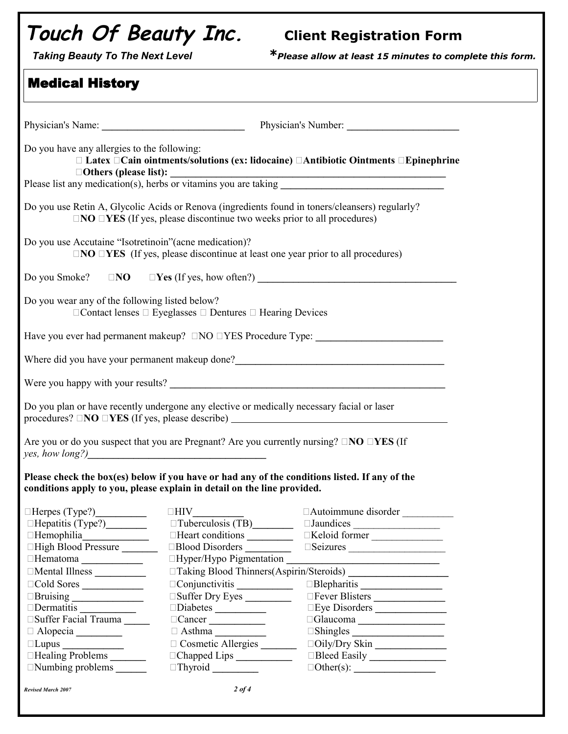## **Touch Of Beauty Inc. Client Registration Form**

*Taking Beauty To The Next Level \*Please allow at least 15 minutes to complete this form.*

| Do you have any allergies to the following:            |                                                                                                    | $\Box$ Latex $\Box$ Cain ointments/solutions (ex: lidocaine) $\Box$ Antibiotic Ointments $\Box$ Epinephrine                                                                                                                            |  |
|--------------------------------------------------------|----------------------------------------------------------------------------------------------------|----------------------------------------------------------------------------------------------------------------------------------------------------------------------------------------------------------------------------------------|--|
|                                                        |                                                                                                    | $\Box$ Others (please list): $\Box$<br>Please list any medication(s), herbs or vitamins you are taking $\Box$                                                                                                                          |  |
|                                                        | $\Box$ NO $\Box$ YES (If yes, please discontinue two weeks prior to all procedures)                | Do you use Retin A, Glycolic Acids or Renova (ingredients found in toners/cleansers) regularly?                                                                                                                                        |  |
| Do you use Accutaine "Isotretinoin" (acne medication)? | $\Box$ NO $\Box$ YES (If yes, please discontinue at least one year prior to all procedures)        |                                                                                                                                                                                                                                        |  |
| Do you Smoke?                                          |                                                                                                    |                                                                                                                                                                                                                                        |  |
| Do you wear any of the following listed below?         | $\Box$ Contact lenses $\Box$ Eyeglasses $\Box$ Dentures $\Box$ Hearing Devices                     |                                                                                                                                                                                                                                        |  |
|                                                        |                                                                                                    | Have you ever had permanent makeup? $\Box NO \Box YES$ Procedure Type:                                                                                                                                                                 |  |
|                                                        |                                                                                                    | Where did you have your permanent makeup done?<br><u>Letter and the contract of the set of the set of the set of the set of the set of the set of the set of the set of the set of the set of the set of the set of the set of the</u> |  |
|                                                        |                                                                                                    |                                                                                                                                                                                                                                        |  |
|                                                        | Do you plan or have recently undergone any elective or medically necessary facial or laser         | procedures? $\Box$ <b>NO</b> $\Box$ <b>YES</b> (If yes, please describe) $\Box$                                                                                                                                                        |  |
| yes, how long?)                                        | Are you or do you suspect that you are Pregnant? Are you currently nursing? $\Box NO \Box YES$ (If |                                                                                                                                                                                                                                        |  |
|                                                        | conditions apply to you, please explain in detail on the line provided.                            | Please check the box(es) below if you have or had any of the conditions listed. If any of the                                                                                                                                          |  |
|                                                        |                                                                                                    | □Autoimmune disorder __________                                                                                                                                                                                                        |  |
| Hepatitis (Type?)_________                             | $\Box$ Tuberculosis (TB)                                                                           |                                                                                                                                                                                                                                        |  |
|                                                        | Heart conditions                                                                                   | Keloid former                                                                                                                                                                                                                          |  |
| □High Blood Pressure                                   | Blood Disorders                                                                                    |                                                                                                                                                                                                                                        |  |
| Hematoma <sub>_________________</sub>                  | □Hyper/Hypo Pigmentation                                                                           |                                                                                                                                                                                                                                        |  |
| Mental Illness                                         |                                                                                                    |                                                                                                                                                                                                                                        |  |
| Cold Sores                                             |                                                                                                    | Blepharitis                                                                                                                                                                                                                            |  |
| Bruising                                               | Suffer Dry Eyes                                                                                    | Fever Blisters                                                                                                                                                                                                                         |  |
| Dermatitis                                             | Diabetes                                                                                           | Eye Disorders                                                                                                                                                                                                                          |  |
| □Suffer Facial Trauma _____                            | $\Box$ Cancer                                                                                      | Glaucoma                                                                                                                                                                                                                               |  |
| Alopecia                                               | $\Box$ Asthma                                                                                      |                                                                                                                                                                                                                                        |  |
|                                                        | Cosmetic Allergies                                                                                 | □Oily/Dry Skin                                                                                                                                                                                                                         |  |
| □Healing Problems                                      |                                                                                                    |                                                                                                                                                                                                                                        |  |
| $\Box$ Numbing problems $\Box$                         | $\Box$ Thyroid                                                                                     |                                                                                                                                                                                                                                        |  |
| <b>Revised March 2007</b>                              | $2$ of 4                                                                                           |                                                                                                                                                                                                                                        |  |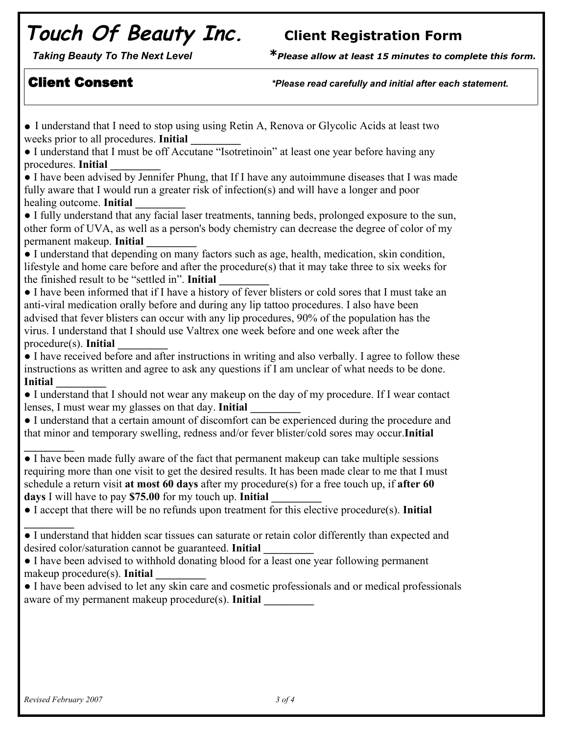## **Touch Of Beauty Inc. Client Registration Form**

*Taking Beauty To The Next Level \*Please allow at least 15 minutes to complete this form.*

Client Consent *Consent <i>release read carefully and initial after each statement.* 

• I understand that I need to stop using using Retin A, Renova or Glycolic Acids at least two weeks prior to all procedures. **Initial \_\_\_\_\_\_\_\_\_** ● I understand that I must be off Accutane "Isotretinoin" at least one year before having any procedures. **Initial \_\_\_\_\_\_\_\_\_** ● I have been advised by Jennifer Phung, that If I have any autoimmune diseases that I was made fully aware that I would run a greater risk of infection(s) and will have a longer and poor healing outcome. **Initial \_\_\_\_\_\_\_\_\_** ● I fully understand that any facial laser treatments, tanning beds, prolonged exposure to the sun, other form of UVA, as well as a person's body chemistry can decrease the degree of color of my permanent makeup. **Initial \_\_\_\_\_\_\_\_\_** ● I understand that depending on many factors such as age, health, medication, skin condition, lifestyle and home care before and after the procedure(s) that it may take three to six weeks for the finished result to be "settled in". **Initial \_\_\_\_\_\_\_\_\_** ● I have been informed that if I have a history of fever blisters or cold sores that I must take an anti-viral medication orally before and during any lip tattoo procedures. I also have been advised that fever blisters can occur with any lip procedures, 90% of the population has the virus. I understand that I should use Valtrex one week before and one week after the procedure(s). **Initial \_\_\_\_\_\_\_\_\_** ● I have received before and after instructions in writing and also verbally. I agree to follow these instructions as written and agree to ask any questions if I am unclear of what needs to be done. **Initial \_\_\_\_\_\_\_\_\_** ● I understand that I should not wear any makeup on the day of my procedure. If I wear contact lenses, I must wear my glasses on that day. **Initial \_\_\_\_\_\_\_\_\_** ● I understand that a certain amount of discomfort can be experienced during the procedure and that minor and temporary swelling, redness and/or fever blister/cold sores may occur.**Initial \_\_\_\_\_\_\_\_\_** ● I have been made fully aware of the fact that permanent makeup can take multiple sessions requiring more than one visit to get the desired results. It has been made clear to me that I must schedule a return visit **at most 60 days** after my procedure(s) for a free touch up, if **after 60 days** I will have to pay **\$75.00** for my touch up. **Initial \_\_\_\_\_\_\_\_\_** ● I accept that there will be no refunds upon treatment for this elective procedure(s). **Initial \_\_\_\_\_\_\_\_\_** ● I understand that hidden scar tissues can saturate or retain color differently than expected and desired color/saturation cannot be guaranteed. **Initial \_\_\_\_\_\_\_\_\_** ● I have been advised to withhold donating blood for a least one year following permanent makeup procedure(s). **Initial \_\_\_\_\_\_\_\_\_** ● I have been advised to let any skin care and cosmetic professionals and or medical professionals aware of my permanent makeup procedure(s). **Initial**